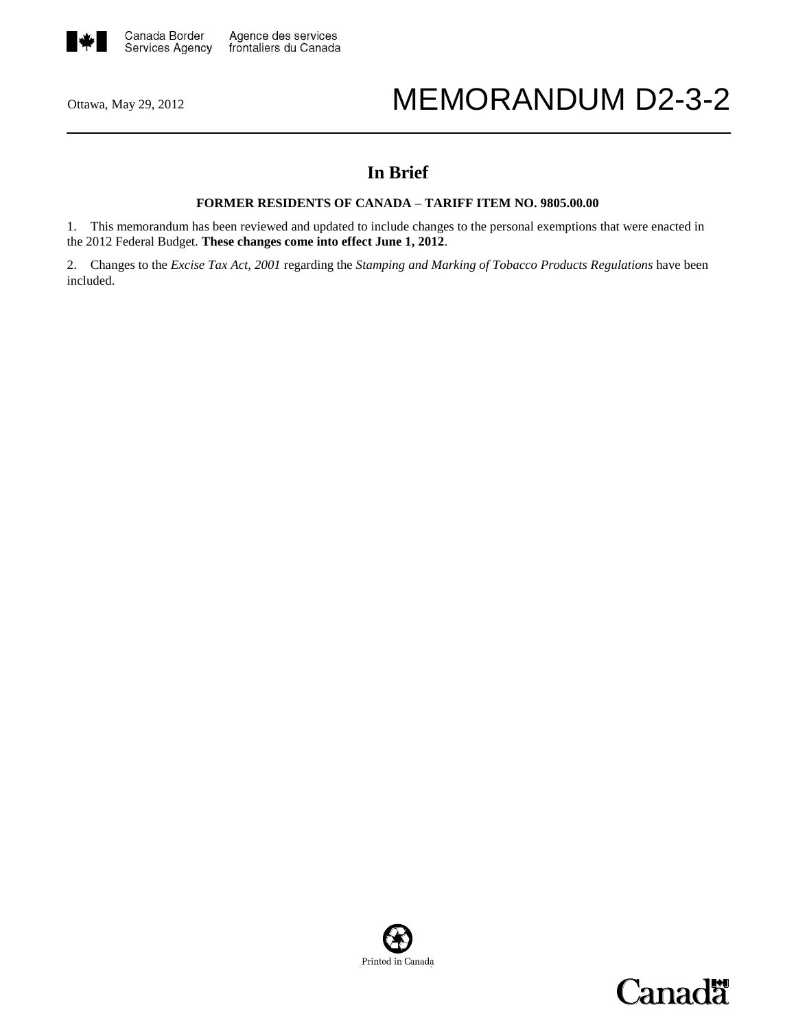

# Ottawa, May 29, 2012 MEMORANDUM D2-3-2

# **In Brief**

# **FORMER RESIDENTS OF CANADA – TARIFF ITEM NO. 9805.00.00**

1. This memorandum has been reviewed and updated to include changes to the personal exemptions that were enacted in the 2012 Federal Budget. **These changes come into effect June 1, 2012**.

2. Changes to the *Excise Tax Act, 2001* regarding the *Stamping and Marking of Tobacco Products Regulations* have been included.



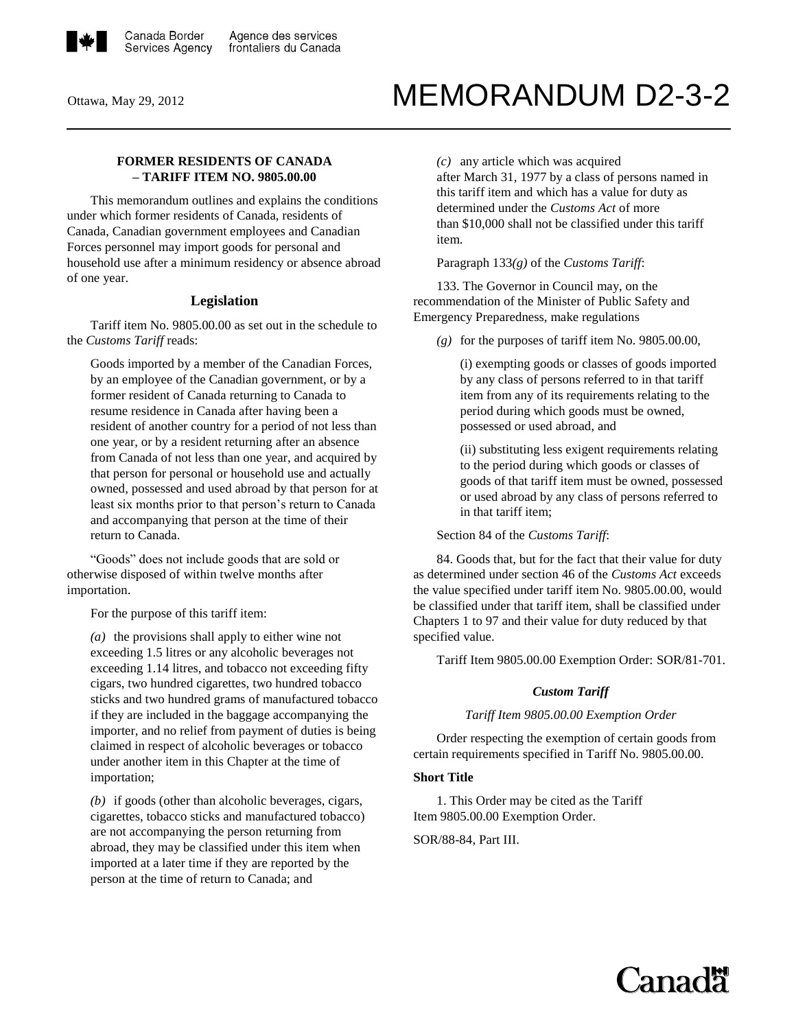

# Ottawa, May 29, 2012 MEMORANDUM D2-3-2

# **FORMER RESIDENTS OF CANADA – TARIFF ITEM NO. 9805.00.00**

This memorandum outlines and explains the conditions under which former residents of Canada, residents of Canada, Canadian government employees and Canadian Forces personnel may import goods for personal and household use after a minimum residency or absence abroad of one year.

#### **Legislation**

Tariff item No. 9805.00.00 as set out in the schedule to the *Customs Tariff* reads:

Goods imported by a member of the Canadian Forces, by an employee of the Canadian government, or by a former resident of Canada returning to Canada to resume residence in Canada after having been a resident of another country for a period of not less than one year, or by a resident returning after an absence from Canada of not less than one year, and acquired by that person for personal or household use and actually owned, possessed and used abroad by that person for at least six months prior to that person's return to Canada and accompanying that person at the time of their return to Canada.

"Goods" does not include goods that are sold or otherwise disposed of within twelve months after importation.

For the purpose of this tariff item:

*(a)* the provisions shall apply to either wine not exceeding 1.5 litres or any alcoholic beverages not exceeding 1.14 litres, and tobacco not exceeding fifty cigars, two hundred cigarettes, two hundred tobacco sticks and two hundred grams of manufactured tobacco if they are included in the baggage accompanying the importer, and no relief from payment of duties is being claimed in respect of alcoholic beverages or tobacco under another item in this Chapter at the time of importation;

*(b)* if goods (other than alcoholic beverages, cigars, cigarettes, tobacco sticks and manufactured tobacco) are not accompanying the person returning from abroad, they may be classified under this item when imported at a later time if they are reported by the person at the time of return to Canada; and

*(c)* any article which was acquired

after March 31, 1977 by a class of persons named in this tariff item and which has a value for duty as determined under the *Customs Act* of more than \$10,000 shall not be classified under this tariff item.

Paragraph 133*(g)* of the *Customs Tariff*:

133. The Governor in Council may, on the recommendation of the Minister of Public Safety and Emergency Preparedness, make regulations

*(g)* for the purposes of tariff item No. 9805.00.00,

(i) exempting goods or classes of goods imported by any class of persons referred to in that tariff item from any of its requirements relating to the period during which goods must be owned, possessed or used abroad, and

(ii) substituting less exigent requirements relating to the period during which goods or classes of goods of that tariff item must be owned, possessed or used abroad by any class of persons referred to in that tariff item;

Section 84 of the *Customs Tariff*:

84. Goods that, but for the fact that their value for duty as determined under section 46 of the *Customs Act* exceeds the value specified under tariff item No. 9805.00.00, would be classified under that tariff item, shall be classified under Chapters 1 to 97 and their value for duty reduced by that specified value.

Tariff Item 9805.00.00 Exemption Order: SOR/81-701.

#### *Custom Tariff*

*Tariff Item 9805.00.00 Exemption Order*

Order respecting the exemption of certain goods from certain requirements specified in Tariff No. 9805.00.00.

#### **Short Title**

1. This Order may be cited as the Tariff Item 9805.00.00 Exemption Order.

SOR/88-84, Part III.

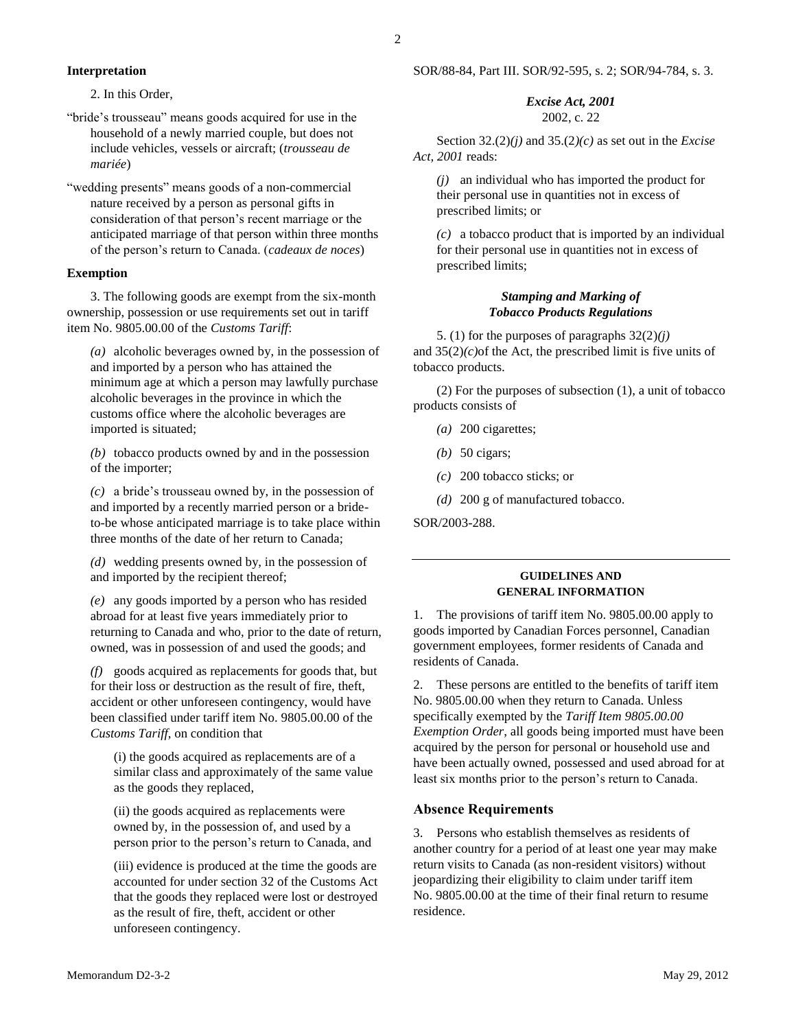# **Interpretation**

2. In this Order,

- "bride's trousseau" means goods acquired for use in the household of a newly married couple, but does not include vehicles, vessels or aircraft; (*trousseau de mariée*)
- "wedding presents" means goods of a non-commercial nature received by a person as personal gifts in consideration of that person's recent marriage or the anticipated marriage of that person within three months of the person's return to Canada. (*cadeaux de noces*)

# **Exemption**

3. The following goods are exempt from the six-month ownership, possession or use requirements set out in tariff item No. 9805.00.00 of the *Customs Tariff*:

*(a)* alcoholic beverages owned by, in the possession of and imported by a person who has attained the minimum age at which a person may lawfully purchase alcoholic beverages in the province in which the customs office where the alcoholic beverages are imported is situated;

*(b)* tobacco products owned by and in the possession of the importer;

*(c)* a bride's trousseau owned by, in the possession of and imported by a recently married person or a brideto-be whose anticipated marriage is to take place within three months of the date of her return to Canada;

*(d)* wedding presents owned by, in the possession of and imported by the recipient thereof;

*(e)* any goods imported by a person who has resided abroad for at least five years immediately prior to returning to Canada and who, prior to the date of return, owned, was in possession of and used the goods; and

*(f)* goods acquired as replacements for goods that, but for their loss or destruction as the result of fire, theft, accident or other unforeseen contingency, would have been classified under tariff item No. 9805.00.00 of the *Customs Tariff*, on condition that

(i) the goods acquired as replacements are of a similar class and approximately of the same value as the goods they replaced,

(ii) the goods acquired as replacements were owned by, in the possession of, and used by a person prior to the person's return to Canada, and

(iii) evidence is produced at the time the goods are accounted for under section 32 of the Customs Act that the goods they replaced were lost or destroyed as the result of fire, theft, accident or other unforeseen contingency.

# *Excise Act, 2001* 2002, c. 22

Section 32.(2)*(j)* and 35.(2*)(c)* as set out in the *Excise Act, 2001* reads:

*(j)* an individual who has imported the product for their personal use in quantities not in excess of prescribed limits; or

*(c)* a tobacco product that is imported by an individual for their personal use in quantities not in excess of prescribed limits;

# *Stamping and Marking of Tobacco Products Regulations*

5. (1) for the purposes of paragraphs 32(2)*(j)* and  $35(2)(c)$  of the Act, the prescribed limit is five units of tobacco products.

(2) For the purposes of subsection (1), a unit of tobacco products consists of

- *(a)* 200 cigarettes;
- *(b)* 50 cigars;
- *(c)* 200 tobacco sticks; or
- *(d)* 200 g of manufactured tobacco.

SOR/2003-288.

# **GUIDELINES AND GENERAL INFORMATION**

1. The provisions of tariff item No. 9805.00.00 apply to goods imported by Canadian Forces personnel, Canadian government employees, former residents of Canada and residents of Canada.

2. These persons are entitled to the benefits of tariff item No. 9805.00.00 when they return to Canada. Unless specifically exempted by the *Tariff Item 9805.00.00 Exemption Order*, all goods being imported must have been acquired by the person for personal or household use and have been actually owned, possessed and used abroad for at least six months prior to the person's return to Canada.

# **Absence Requirements**

3. Persons who establish themselves as residents of another country for a period of at least one year may make return visits to Canada (as non-resident visitors) without jeopardizing their eligibility to claim under tariff item No. 9805.00.00 at the time of their final return to resume residence.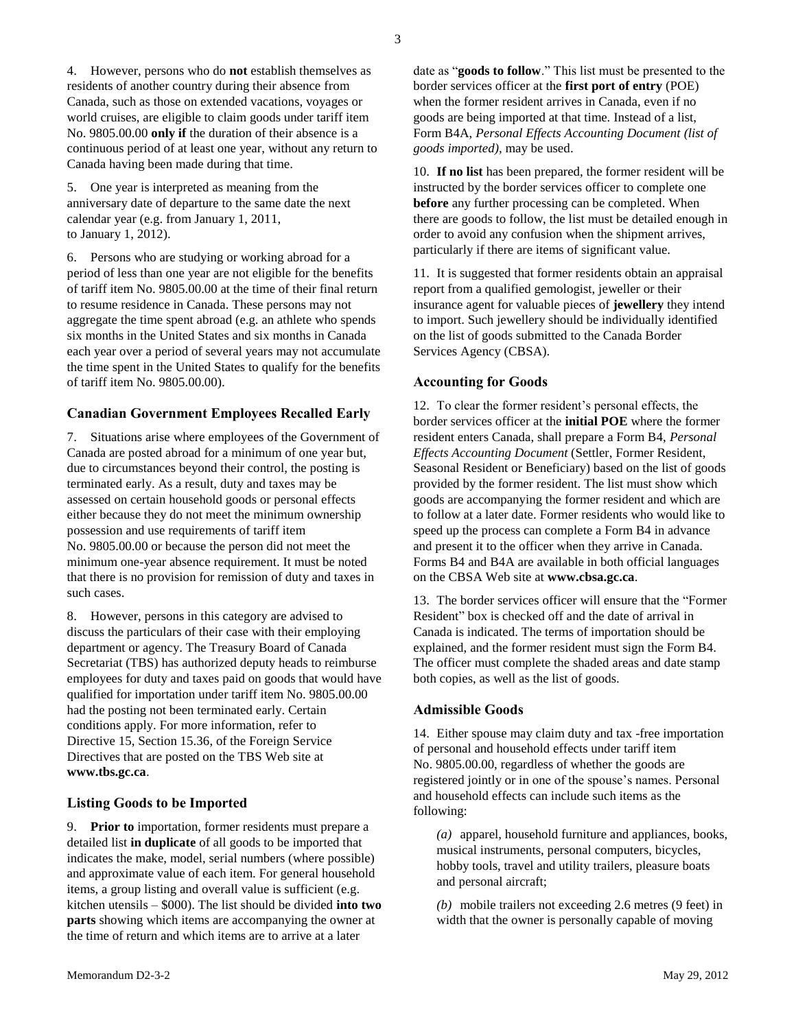4. However, persons who do **not** establish themselves as residents of another country during their absence from Canada, such as those on extended vacations, voyages or world cruises, are eligible to claim goods under tariff item No. 9805.00.00 **only if** the duration of their absence is a continuous period of at least one year, without any return to Canada having been made during that time.

5. One year is interpreted as meaning from the anniversary date of departure to the same date the next calendar year (e.g. from January 1, 2011, to January 1, 2012).

6. Persons who are studying or working abroad for a period of less than one year are not eligible for the benefits of tariff item No. 9805.00.00 at the time of their final return to resume residence in Canada. These persons may not aggregate the time spent abroad (e.g. an athlete who spends six months in the United States and six months in Canada each year over a period of several years may not accumulate the time spent in the United States to qualify for the benefits of tariff item No. 9805.00.00).

# **Canadian Government Employees Recalled Early**

7. Situations arise where employees of the Government of Canada are posted abroad for a minimum of one year but, due to circumstances beyond their control, the posting is terminated early. As a result, duty and taxes may be assessed on certain household goods or personal effects either because they do not meet the minimum ownership possession and use requirements of tariff item No. 9805.00.00 or because the person did not meet the minimum one-year absence requirement. It must be noted that there is no provision for remission of duty and taxes in such cases.

8. However, persons in this category are advised to discuss the particulars of their case with their employing department or agency. The Treasury Board of Canada Secretariat (TBS) has authorized deputy heads to reimburse employees for duty and taxes paid on goods that would have qualified for importation under tariff item No. 9805.00.00 had the posting not been terminated early. Certain conditions apply. For more information, refer to Directive 15, Section 15.36, of the Foreign Service Directives that are posted on the TBS Web site at **<www.tbs.gc.ca>**.

#### **Listing Goods to be Imported**

9. **Prior to** importation, former residents must prepare a detailed list **in duplicate** of all goods to be imported that indicates the make, model, serial numbers (where possible) and approximate value of each item. For general household items, a group listing and overall value is sufficient (e.g. kitchen utensils – \$000). The list should be divided **into two parts** showing which items are accompanying the owner at the time of return and which items are to arrive at a later

date as "**goods to follow**." This list must be presented to the border services officer at the **first port of entry** (POE) when the former resident arrives in Canada, even if no goods are being imported at that time. Instead of a list, Form B4A, *Personal Effects Accounting Document (list of goods imported)*, may be used.

10. **If no list** has been prepared, the former resident will be instructed by the border services officer to complete one **before** any further processing can be completed. When there are goods to follow, the list must be detailed enough in order to avoid any confusion when the shipment arrives, particularly if there are items of significant value.

11. It is suggested that former residents obtain an appraisal report from a qualified gemologist, jeweller or their insurance agent for valuable pieces of **jewellery** they intend to import. Such jewellery should be individually identified on the list of goods submitted to the Canada Border Services Agency (CBSA).

# **Accounting for Goods**

12. To clear the former resident's personal effects, the border services officer at the **initial POE** where the former resident enters Canada, shall prepare a Form B4, *Personal Effects Accounting Document* (Settler, Former Resident, Seasonal Resident or Beneficiary) based on the list of goods provided by the former resident. The list must show which goods are accompanying the former resident and which are to follow at a later date. Former residents who would like to speed up the process can complete a Form B4 in advance and present it to the officer when they arrive in Canada. Forms B4 and B4A are available in both official languages on the CBSA Web site at **www.cbsa.gc.ca**.

13. The border services officer will ensure that the "Former Resident" box is checked off and the date of arrival in Canada is indicated. The terms of importation should be explained, and the former resident must sign the Form B4. The officer must complete the shaded areas and date stamp both copies, as well as the list of goods.

#### **Admissible Goods**

14. Either spouse may claim duty and tax -free importation of personal and household effects under tariff item No. 9805.00.00, regardless of whether the goods are registered jointly or in one of the spouse's names. Personal and household effects can include such items as the following:

*(a)* apparel, household furniture and appliances, books, musical instruments, personal computers, bicycles, hobby tools, travel and utility trailers, pleasure boats and personal aircraft;

*(b)* mobile trailers not exceeding 2.6 metres (9 feet) in width that the owner is personally capable of moving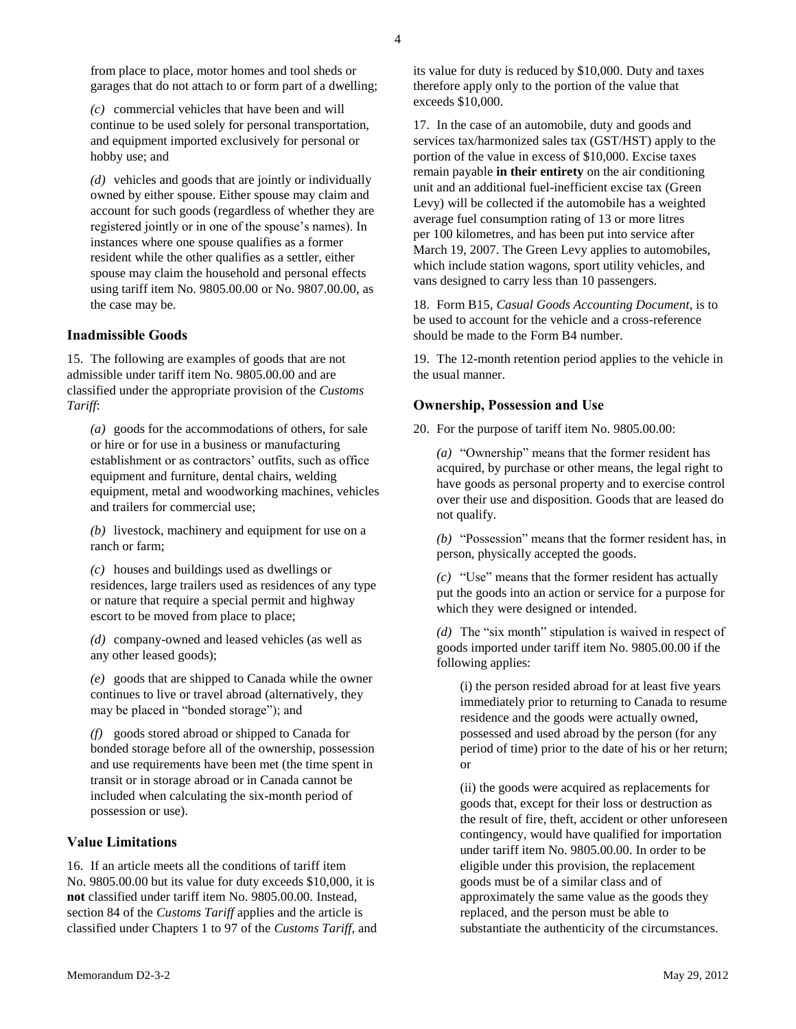from place to place, motor homes and tool sheds or garages that do not attach to or form part of a dwelling;

*(c)* commercial vehicles that have been and will continue to be used solely for personal transportation, and equipment imported exclusively for personal or hobby use; and

*(d)* vehicles and goods that are jointly or individually owned by either spouse. Either spouse may claim and account for such goods (regardless of whether they are registered jointly or in one of the spouse's names). In instances where one spouse qualifies as a former resident while the other qualifies as a settler, either spouse may claim the household and personal effects using tariff item No. 9805.00.00 or No. 9807.00.00, as the case may be.

#### **Inadmissible Goods**

15. The following are examples of goods that are not admissible under tariff item No. 9805.00.00 and are classified under the appropriate provision of the *Customs Tariff*:

*(a)* goods for the accommodations of others, for sale or hire or for use in a business or manufacturing establishment or as contractors' outfits, such as office equipment and furniture, dental chairs, welding equipment, metal and woodworking machines, vehicles and trailers for commercial use;

*(b)* livestock, machinery and equipment for use on a ranch or farm;

*(c)* houses and buildings used as dwellings or residences, large trailers used as residences of any type or nature that require a special permit and highway escort to be moved from place to place;

*(d)* company-owned and leased vehicles (as well as any other leased goods);

*(e)* goods that are shipped to Canada while the owner continues to live or travel abroad (alternatively, they may be placed in "bonded storage"); and

*(f)* goods stored abroad or shipped to Canada for bonded storage before all of the ownership, possession and use requirements have been met (the time spent in transit or in storage abroad or in Canada cannot be included when calculating the six-month period of possession or use).

# **Value Limitations**

16. If an article meets all the conditions of tariff item No. 9805.00.00 but its value for duty exceeds \$10,000, it is **not** classified under tariff item No. 9805.00.00. Instead, section 84 of the *Customs Tariff* applies and the article is classified under Chapters 1 to 97 of the *Customs Tariff*, and its value for duty is reduced by \$10,000. Duty and taxes therefore apply only to the portion of the value that exceeds \$10,000.

17. In the case of an automobile, duty and goods and services tax/harmonized sales tax (GST/HST) apply to the portion of the value in excess of \$10,000. Excise taxes remain payable **in their entirety** on the air conditioning unit and an additional fuel-inefficient excise tax (Green Levy) will be collected if the automobile has a weighted average fuel consumption rating of 13 or more litres per 100 kilometres, and has been put into service after March 19, 2007. The Green Levy applies to automobiles, which include station wagons, sport utility vehicles, and vans designed to carry less than 10 passengers.

18. Form B15, *Casual Goods Accounting Document*, is to be used to account for the vehicle and a cross-reference should be made to the Form B4 number.

19. The 12-month retention period applies to the vehicle in the usual manner.

#### **Ownership, Possession and Use**

20. For the purpose of tariff item No. 9805.00.00:

*(a)* "Ownership" means that the former resident has acquired, by purchase or other means, the legal right to have goods as personal property and to exercise control over their use and disposition. Goods that are leased do not qualify.

*(b)* "Possession" means that the former resident has, in person, physically accepted the goods.

*(c)* "Use" means that the former resident has actually put the goods into an action or service for a purpose for which they were designed or intended.

*(d)* The "six month" stipulation is waived in respect of goods imported under tariff item No. 9805.00.00 if the following applies:

(i) the person resided abroad for at least five years immediately prior to returning to Canada to resume residence and the goods were actually owned, possessed and used abroad by the person (for any period of time) prior to the date of his or her return; or

(ii) the goods were acquired as replacements for goods that, except for their loss or destruction as the result of fire, theft, accident or other unforeseen contingency, would have qualified for importation under tariff item No. 9805.00.00. In order to be eligible under this provision, the replacement goods must be of a similar class and of approximately the same value as the goods they replaced, and the person must be able to substantiate the authenticity of the circumstances.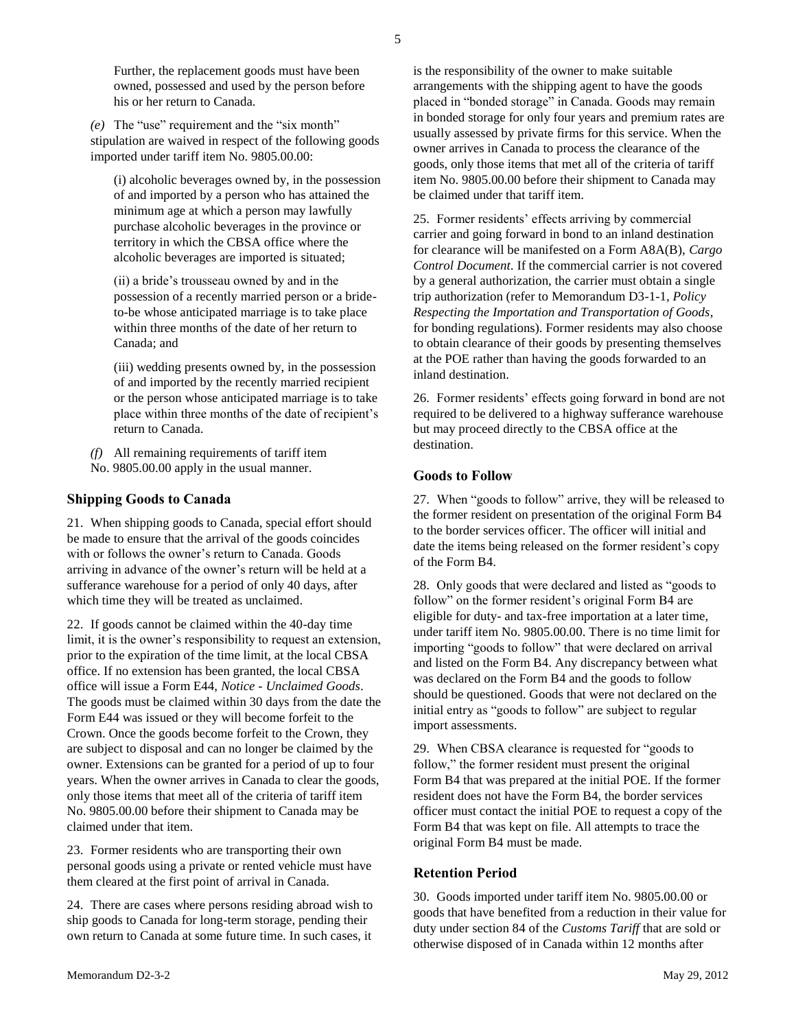5

Further, the replacement goods must have been owned, possessed and used by the person before his or her return to Canada.

*(e)* The "use" requirement and the "six month" stipulation are waived in respect of the following goods imported under tariff item No. 9805.00.00:

(i) alcoholic beverages owned by, in the possession of and imported by a person who has attained the minimum age at which a person may lawfully purchase alcoholic beverages in the province or territory in which the CBSA office where the alcoholic beverages are imported is situated;

(ii) a bride's trousseau owned by and in the possession of a recently married person or a brideto-be whose anticipated marriage is to take place within three months of the date of her return to Canada; and

(iii) wedding presents owned by, in the possession of and imported by the recently married recipient or the person whose anticipated marriage is to take place within three months of the date of recipient's return to Canada.

*(f)* All remaining requirements of tariff item No. 9805.00.00 apply in the usual manner.

# **Shipping Goods to Canada**

21. When shipping goods to Canada, special effort should be made to ensure that the arrival of the goods coincides with or follows the owner's return to Canada. Goods arriving in advance of the owner's return will be held at a sufferance warehouse for a period of only 40 days, after which time they will be treated as unclaimed.

22. If goods cannot be claimed within the 40-day time limit, it is the owner's responsibility to request an extension, prior to the expiration of the time limit, at the local CBSA office. If no extension has been granted, the local CBSA office will issue a Form E44, *Notice - Unclaimed Goods*. The goods must be claimed within 30 days from the date the Form E44 was issued or they will become forfeit to the Crown. Once the goods become forfeit to the Crown, they are subject to disposal and can no longer be claimed by the owner. Extensions can be granted for a period of up to four years. When the owner arrives in Canada to clear the goods, only those items that meet all of the criteria of tariff item No. 9805.00.00 before their shipment to Canada may be claimed under that item.

23. Former residents who are transporting their own personal goods using a private or rented vehicle must have them cleared at the first point of arrival in Canada.

24. There are cases where persons residing abroad wish to ship goods to Canada for long-term storage, pending their own return to Canada at some future time. In such cases, it

is the responsibility of the owner to make suitable arrangements with the shipping agent to have the goods placed in "bonded storage" in Canada. Goods may remain in bonded storage for only four years and premium rates are usually assessed by private firms for this service. When the owner arrives in Canada to process the clearance of the goods, only those items that met all of the criteria of tariff item No. 9805.00.00 before their shipment to Canada may be claimed under that tariff item.

25. Former residents' effects arriving by commercial carrier and going forward in bond to an inland destination for clearance will be manifested on a Form A8A(B), *Cargo Control Document*. If the commercial carrier is not covered by a general authorization, the carrier must obtain a single trip authorization (refer to [Memorandum D3-1-1,](http://www.cbsa-asfc.gc.ca/publications/dm-md/d3/d3-1-1-eng.html) *Policy Respecting the Importation and Transportation of Goods*, for bonding regulations). Former residents may also choose to obtain clearance of their goods by presenting themselves at the POE rather than having the goods forwarded to an inland destination.

26. Former residents' effects going forward in bond are not required to be delivered to a highway sufferance warehouse but may proceed directly to the CBSA office at the destination.

# **Goods to Follow**

27. When "goods to follow" arrive, they will be released to the former resident on presentation of the original Form B4 to the border services officer. The officer will initial and date the items being released on the former resident's copy of the Form B4.

28. Only goods that were declared and listed as "goods to follow" on the former resident's original Form B4 are eligible for duty- and tax-free importation at a later time, under tariff item No. 9805.00.00. There is no time limit for importing "goods to follow" that were declared on arrival and listed on the Form B4. Any discrepancy between what was declared on the Form B4 and the goods to follow should be questioned. Goods that were not declared on the initial entry as "goods to follow" are subject to regular import assessments.

29. When CBSA clearance is requested for "goods to follow," the former resident must present the original Form B4 that was prepared at the initial POE. If the former resident does not have the Form B4, the border services officer must contact the initial POE to request a copy of the Form B4 that was kept on file. All attempts to trace the original Form B4 must be made.

#### **Retention Period**

30. Goods imported under tariff item No. 9805.00.00 or goods that have benefited from a reduction in their value for duty under section 84 of the *Customs Tariff* that are sold or otherwise disposed of in Canada within 12 months after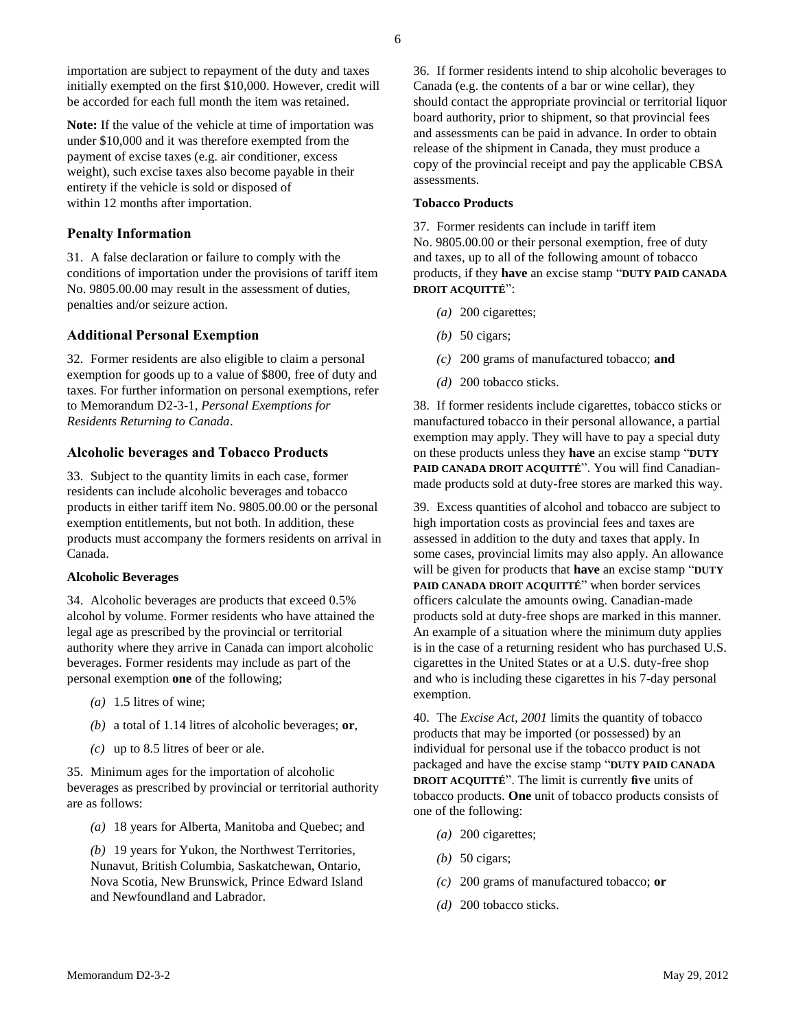importation are subject to repayment of the duty and taxes initially exempted on the first \$10,000. However, credit will be accorded for each full month the item was retained.

**Note:** If the value of the vehicle at time of importation was under \$10,000 and it was therefore exempted from the payment of excise taxes (e.g. air conditioner, excess weight), such excise taxes also become payable in their entirety if the vehicle is sold or disposed of within 12 months after importation.

#### **Penalty Information**

31. A false declaration or failure to comply with the conditions of importation under the provisions of tariff item No. 9805.00.00 may result in the assessment of duties, penalties and/or seizure action.

# **Additional Personal Exemption**

32. Former residents are also eligible to claim a personal exemption for goods up to a value of \$800, free of duty and taxes. For further information on personal exemptions, refer to [Memorandum D2-3-1,](http://www.cbsa-asfc.gc.ca/publications/dm-md/d2/d2-3-1-eng.html) *Personal Exemptions for Residents Returning to Canada*.

#### **Alcoholic beverages and Tobacco Products**

33. Subject to the quantity limits in each case, former residents can include alcoholic beverages and tobacco products in either tariff item No. 9805.00.00 or the personal exemption entitlements, but not both. In addition, these products must accompany the formers residents on arrival in Canada.

#### **Alcoholic Beverages**

34. Alcoholic beverages are products that exceed 0.5% alcohol by volume. Former residents who have attained the legal age as prescribed by the provincial or territorial authority where they arrive in Canada can import alcoholic beverages. Former residents may include as part of the personal exemption **one** of the following;

- *(a)* 1.5 litres of wine;
- *(b)* a total of 1.14 litres of alcoholic beverages; **or**,
- *(c)* up to 8.5 litres of beer or ale.

35. Minimum ages for the importation of alcoholic beverages as prescribed by provincial or territorial authority are as follows:

- *(a)* 18 years for Alberta, Manitoba and Quebec; and
- *(b)* 19 years for Yukon, the Northwest Territories, Nunavut, British Columbia, Saskatchewan, Ontario, Nova Scotia, New Brunswick, Prince Edward Island and Newfoundland and Labrador.

36. If former residents intend to ship alcoholic beverages to Canada (e.g. the contents of a bar or wine cellar), they should contact the appropriate provincial or territorial liquor board authority, prior to shipment, so that provincial fees and assessments can be paid in advance. In order to obtain release of the shipment in Canada, they must produce a copy of the provincial receipt and pay the applicable CBSA assessments.

#### **Tobacco Products**

37. Former residents can include in tariff item No. 9805.00.00 or their personal exemption, free of duty and taxes, up to all of the following amount of tobacco products, if they **have** an excise stamp "**DUTY PAID CANADA DROIT ACQUITTÉ**":

- *(a)* 200 cigarettes;
- *(b)* 50 cigars;
- *(c)* 200 grams of manufactured tobacco; **and**
- *(d)* 200 tobacco sticks.

38. If former residents include cigarettes, tobacco sticks or manufactured tobacco in their personal allowance, a partial exemption may apply. They will have to pay a special duty on these products unless they **have** an excise stamp "**DUTY PAID CANADA DROIT ACQUITTÉ**". You will find Canadianmade products sold at duty-free stores are marked this way.

39. Excess quantities of alcohol and tobacco are subject to high importation costs as provincial fees and taxes are assessed in addition to the duty and taxes that apply. In some cases, provincial limits may also apply. An allowance will be given for products that **have** an excise stamp "**DUTY PAID CANADA DROIT ACQUITTÉ**" when border services officers calculate the amounts owing. Canadian-made products sold at duty-free shops are marked in this manner. An example of a situation where the minimum duty applies is in the case of a returning resident who has purchased U.S. cigarettes in the United States or at a U.S. duty-free shop and who is including these cigarettes in his 7-day personal exemption.

40. The *Excise Act, 2001* limits the quantity of tobacco products that may be imported (or possessed) by an individual for personal use if the tobacco product is not packaged and have the excise stamp "**DUTY PAID CANADA DROIT ACQUITTÉ**". The limit is currently **five** units of tobacco products. **One** unit of tobacco products consists of one of the following:

- *(a)* 200 cigarettes;
- *(b)* 50 cigars;
- *(c)* 200 grams of manufactured tobacco; **or**
- *(d)* 200 tobacco sticks.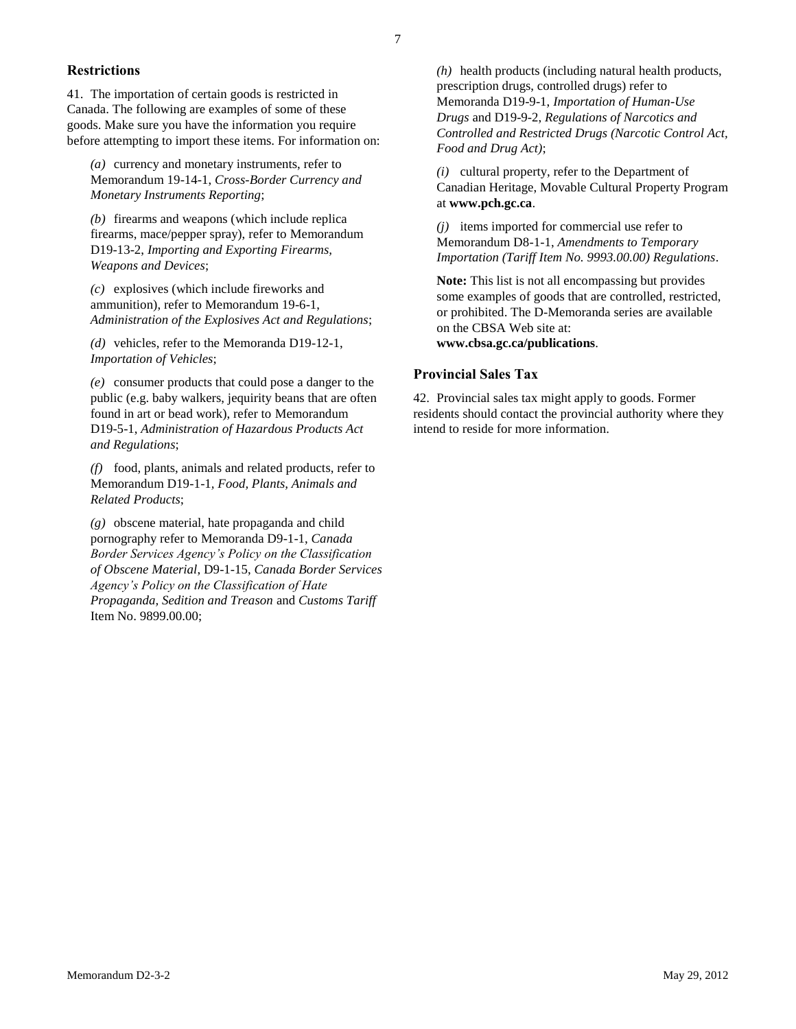#### **Restrictions**

41. The importation of certain goods is restricted in Canada. The following are examples of some of these goods. Make sure you have the information you require before attempting to import these items. For information on:

*(a)* currency and monetary instruments, refer to [Memorandum 19-14-1,](http://www.cbsa-asfc.gc.ca/publications/dm-md/d19/d19-14-1-eng.html) *Cross-Border Currency and Monetary Instruments Reporting*;

*(b)* firearms and weapons (which include replica firearms, mace/pepper spray), refer to [Memorandum](http://www.cbsa-asfc.gc.ca/publications/dm-md/d19/d19-13-2-eng.html)  [D19-13-2,](http://www.cbsa-asfc.gc.ca/publications/dm-md/d19/d19-13-2-eng.html) *Importing and Exporting Firearms, Weapons and Devices*;

*(c)* explosives (which include fireworks and ammunition), refer to [Memorandum 19-6-1,](http://www.cbsa-asfc.gc.ca/publications/dm-md/d19/d19-6-1-eng.html) *Administration of the Explosives Act and Regulations*;

*(d)* vehicles, refer to th[e Memoranda D19-12-1,](http://www.cbsa-asfc.gc.ca/publications/dm-md/d19/d19-12-1-eng.html)  *Importation of Vehicles*;

*(e)* consumer products that could pose a danger to the public (e.g. baby walkers, jequirity beans that are often found in art or bead work), refer to [Memorandum](http://www.cbsa-asfc.gc.ca/publications/dm-md/d19/d19-5-1-eng.html)  [D19-5-1,](http://www.cbsa-asfc.gc.ca/publications/dm-md/d19/d19-5-1-eng.html) *Administration of Hazardous Products Act and Regulations*;

*(f)* food, plants, animals and related products, refer to [Memorandum D19-1-1](http://www.cbsa-asfc.gc.ca/publications/dm-md/d19/d19-1-1-eng.html)*, Food, Plants, Animals and Related Products*;

*(g)* obscene material, hate propaganda and child pornography refer to [Memoranda D9-1-1,](http://www.cbsa-asfc.gc.ca/publications/dm-md/d9/d9-1-1-eng.html) *Canada Border Services Agency's Policy on the Classification of Obscene Material*, [D9-1-15,](http://www.cbsa-asfc.gc.ca/publications/dm-md/d9/d9-1-15-eng.html) *Canada Border Services Agency's Policy on the Classification of Hate Propaganda, Sedition and Treason* and *Customs Tariff* Item No. 9899.00.00;

*(h)* health products (including natural health products, prescription drugs, controlled drugs) refer to [Memoranda D19-9-1,](http://www.cbsa-asfc.gc.ca/publications/dm-md/d19/d19-9-1-eng.html) *Importation of Human-Use Drugs* and [D19-9-2,](http://www.cbsa-asfc.gc.ca/publications/dm-md/d19/d19-9-2-eng.html) *Regulations of Narcotics and Controlled and Restricted Drugs (Narcotic Control Act, Food and Drug Act)*;

*(i)* cultural property, refer to the Department of Canadian Heritage, Movable Cultural Property Program at **www.pch.gc.ca**.

*(j)* items imported for commercial use refer to [Memorandum D8-1-1,](http://www.cbsa-asfc.gc.ca/publications/dm-md/d8/d8-1-1-eng.html) *Amendments to Temporary Importation (Tariff Item No. 9993.00.00) Regulations*.

**Note:** This list is not all encompassing but provides some examples of goods that are controlled, restricted, or prohibited. The D-Memoranda series are available on the CBSA Web site at: **www.cbsa.gc.ca/publications**.

# **Provincial Sales Tax**

42. Provincial sales tax might apply to goods. Former residents should contact the provincial authority where they intend to reside for more information.